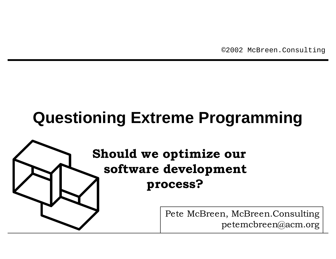©2002 McBreen.Consulting

# **Questioning Extreme Programming**

## **Should we optimize our software development process?**

Pete McBreen, McBreen.Consulting petemcbreen@acm.org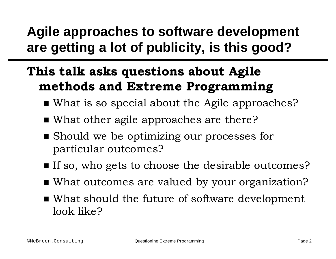## **Agile approaches to software development are getting a lot of publicity, is this good?**

## **This talk asks questions about Agile methods and Extreme Programming**

- What is so special about the Agile approaches?
- What other agile approaches are there?
- Should we be optimizing our processes for particular outcomes?
- If so, who gets to choose the desirable outcomes?
- What outcomes are valued by your organization?
- What should the future of software development look like?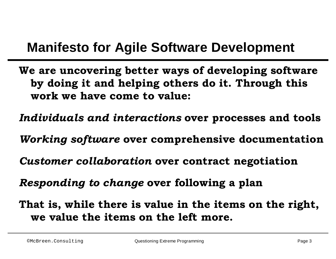### **Manifesto for Agile Software Development**

- **We are uncovering better ways of developing software by doing it and helping others do it. Through this work we have come to value:**
- *Individuals and interactions* **over processes and tools**
- *Working software* **over comprehensive documentation**
- *Customer collaboration* **over contract negotiation**
- *Responding to change* **over following a plan**
- **That is, while there is value in the items on the right, we value the items on the left more.**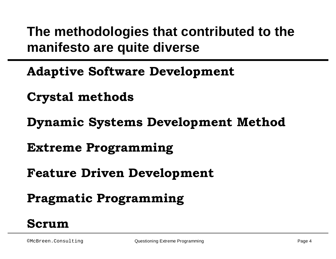## **The methodologies that contributed to the manifesto are quite diverse**

- **Adaptive Software Development**
- **Crystal methods**
- **Dynamic Systems Development Method**
- **Extreme Programming**
- **Feature Driven Development**
- **Pragmatic Programming**

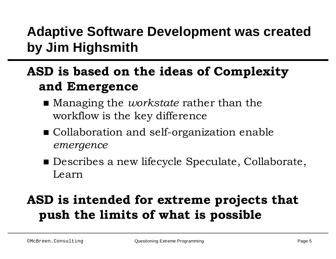## **Adaptive Software Development was created by Jim Highsmith**

## **ASD is based on the ideas of Complexity and Emergence**

- **n** Managing the *workstate* rather than the workflow is the key difference
- Collaboration and self-organization enable *emergence*
- Describes a new lifecycle Speculate, Collaborate, Learn

## **ASD is intended for extreme projects that push the limits of what is possible**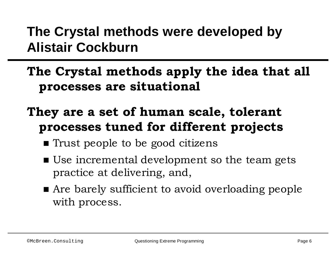## **The Crystal methods were developed by Alistair Cockburn**

#### **The Crystal methods apply the idea that all processes are situational**

### **They are a set of human scale, tolerant processes tuned for different projects**

- Trust people to be good citizens
- Use incremental development so the team gets practice at delivering, and,
- Are barely sufficient to avoid overloading people with process.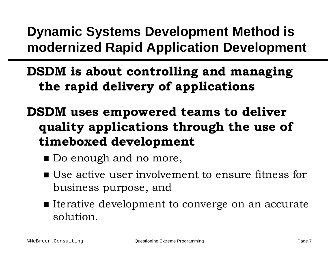**Dynamic Systems Development Method is modernized Rapid Application Development**

**DSDM is about controlling and managing the rapid delivery of applications**

- **DSDM uses empowered teams to deliver quality applications through the use of timeboxed development**
	- Do enough and no more,
	- Use active user involvement to ensure fitness for business purpose, and
	- Iterative development to converge on an accurate solution.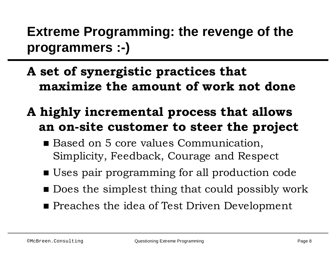**Extreme Programming: the revenge of the programmers :-)**

- **A set of synergistic practices that maximize the amount of work not done**
- **A highly incremental process that allows an on-site customer to steer the project**
	- Based on 5 core values Communication, Simplicity, Feedback, Courage and Respect
	- Uses pair programming for all production code
	- $\blacksquare$  Does the simplest thing that could possibly work
	- **n** Preaches the idea of Test Driven Development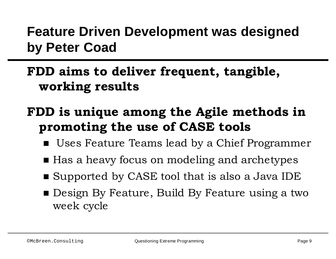## **Feature Driven Development was designed by Peter Coad**

### **FDD aims to deliver frequent, tangible, working results**

### **FDD is unique among the Agile methods in promoting the use of CASE tools**

- Uses Feature Teams lead by a Chief Programmer
- Has a heavy focus on modeling and archetypes
- Supported by CASE tool that is also a Java IDE
- **n** Design By Feature, Build By Feature using a two week cycle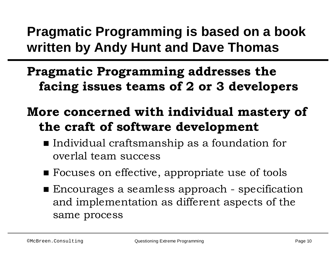## **Pragmatic Programming is based on a book written by Andy Hunt and Dave Thomas**

### **Pragmatic Programming addresses the facing issues teams of 2 or 3 developers**

### **More concerned with individual mastery of the craft of software development**

- Individual craftsmanship as a foundation for overlal team success
- Focuses on effective, appropriate use of tools
- Encourages a seamless approach specification and implementation as different aspects of the same process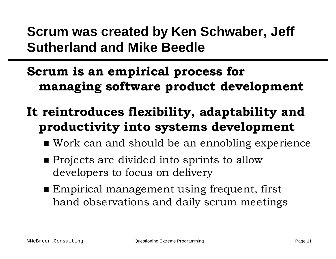## **Scrum was created by Ken Schwaber, Jeff Sutherland and Mike Beedle**

### **Scrum is an empirical process for managing software product development**

## **It reintroduces flexibility, adaptability and productivity into systems development**

- Work can and should be an ennobling experience
- **n** Projects are divided into sprints to allow developers to focus on delivery
- Empirical management using frequent, first hand observations and daily scrum meetings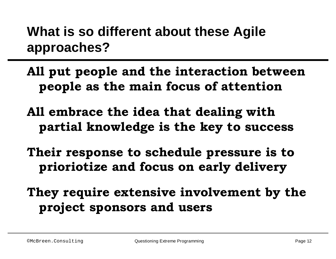## **What is so different about these Agile approaches?**

- **All put people and the interaction between people as the main focus of attention**
- **All embrace the idea that dealing with partial knowledge is the key to success**
- **Their response to schedule pressure is to prioriotize and focus on early delivery**
- **They require extensive involvement by the project sponsors and users**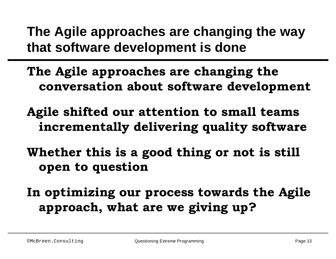## **The Agile approaches are changing the way that software development is done**

- **The Agile approaches are changing the conversation about software development**
- **Agile shifted our attention to small teams incrementally delivering quality software**
- **Whether this is a good thing or not is still open to question**

**In optimizing our process towards the Agile approach, what are we giving up?**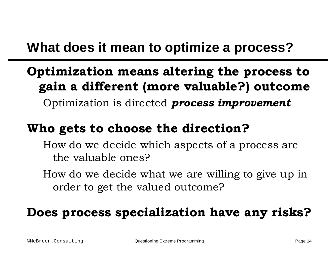## **What does it mean to optimize a process?**

## **Optimization means altering the process to gain a different (more valuable?) outcome**

Optimization is directed *process improvement*

#### **Who gets to choose the direction?**

How do we decide which aspects of a process are the valuable ones?

How do we decide what we are willing to give up in order to get the valued outcome?

#### **Does process specialization have any risks?**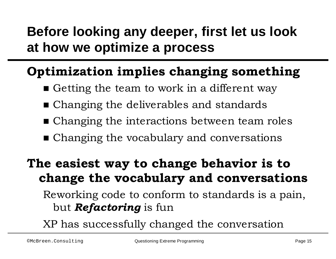## **Before looking any deeper, first let us look at how we optimize a process**

#### **Optimization implies changing something**

- Getting the team to work in a different way
- Changing the deliverables and standards
- Changing the interactions between team roles
- $\blacksquare$  Changing the vocabulary and conversations

### **The easiest way to change behavior is to change the vocabulary and conversations**

Reworking code to conform to standards is a pain, but *Refactoring* is fun

XP has successfully changed the conversation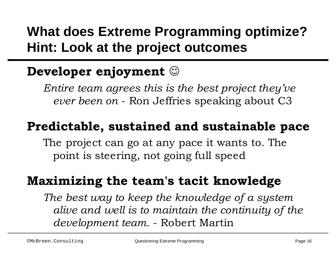## **What does Extreme Programming optimize? Hint: Look at the project outcomes**

## **Developer enjoyment**  $\odot$

*Entire team agrees this is the best project they've ever been on* - Ron Jeffries speaking about C3

### **Predictable, sustained and sustainable pace**

The project can go at any pace it wants to. The point is steering, not going full speed

#### **Maximizing the team's tacit knowledge**

*The best way to keep the knowledge of a system alive and well is to maintain the continuity of the development team.* - Robert Martin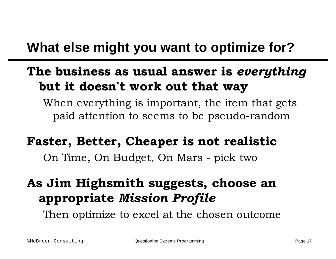## **What else might you want to optimize for?**

### **The business as usual answer is** *everything* **but it doesn't work out that way**

When everything is important, the item that gets paid attention to seems to be pseudo-random

#### **Faster, Better, Cheaper is not realistic**

On Time, On Budget, On Mars - pick two

### **As Jim Highsmith suggests, choose an appropriate** *Mission Profile*

Then optimize to excel at the chosen outcome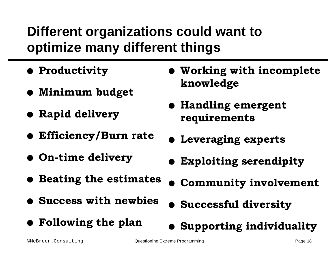## **Different organizations could want to optimize many different things**

- **Productivity**
- l **Minimum budget**
- l **Rapid delivery**
- l **Efficiency/Burn rate**
- l **On-time delivery**
- l **Beating the estimates**
- l **Success with newbies**
- l **Following the plan**
- **Working with incomplete knowledge**
- l **Handling emergent requirements**
- **1** Leveraging experts
- **Exploiting serendipity**
- **Community involvement**
- l **Successful diversity**
- **Supporting individuality**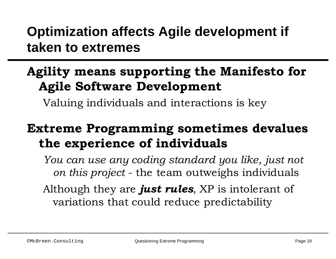## **Optimization affects Agile development if taken to extremes**

### **Agility means supporting the Manifesto for Agile Software Development**

Valuing individuals and interactions is key

### **Extreme Programming sometimes devalues the experience of individuals**

*You can use any coding standard you like, just not on this project* - the team outweighs individuals

Although they are *just rules*, XP is intolerant of variations that could reduce predictability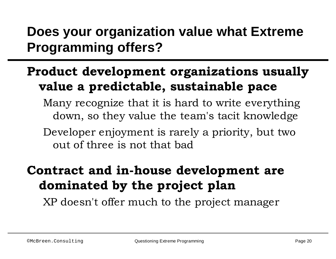## **Does your organization value what Extreme Programming offers?**

### **Product development organizations usually value a predictable, sustainable pace**

Many recognize that it is hard to write everything down, so they value the team's tacit knowledge

Developer enjoyment is rarely a priority, but two out of three is not that bad

### **Contract and in-house development are dominated by the project plan**

XP doesn't offer much to the project manager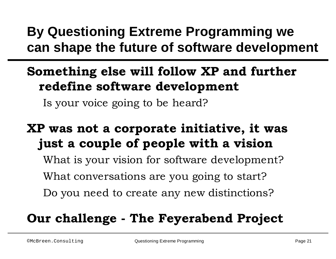## **By Questioning Extreme Programming we can shape the future of software development**

## **Something else will follow XP and further redefine software development**

Is your voice going to be heard?

### **XP was not a corporate initiative, it was just a couple of people with a vision**

What is your vision for software development? What conversations are you going to start? Do you need to create any new distinctions?

## **Our challenge - The Feyerabend Project**